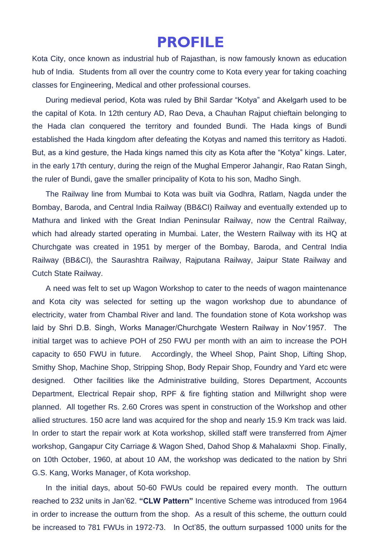## **PROFILE**

Kota City, once known as industrial hub of Rajasthan, is now famously known as education hub of India. Students from all over the country come to Kota every year for taking coaching classes for Engineering, Medical and other professional courses.

During medieval period, Kota was ruled by Bhil Sardar "Kotya" and Akelgarh used to be the capital of Kota. In 12th century AD, Rao Deva, a Chauhan Rajput chieftain belonging to the Hada clan conquered the territory and founded Bundi. The Hada kings of Bundi established the Hada kingdom after defeating the Kotyas and named this territory as Hadoti. But, as a kind gesture, the Hada kings named this city as Kota after the "Kotya" kings. Later, in the early 17th century, during the reign of the Mughal Emperor Jahangir, Rao Ratan Singh, the ruler of Bundi, gave the smaller principality of Kota to his son, Madho Singh.

The Railway line from Mumbai to Kota was built via Godhra, Ratlam, Nagda under the Bombay, Baroda, and Central India Railway (BB&CI) Railway and eventually extended up to Mathura and linked with the Great Indian Peninsular Railway, now the Central Railway, which had already started operating in Mumbai. Later, the Western Railway with its HQ at Churchgate was created in 1951 by merger of the Bombay, Baroda, and Central India Railway (BB&CI), the Saurashtra Railway, Rajputana Railway, Jaipur State Railway and Cutch State Railway.

A need was felt to set up Wagon Workshop to cater to the needs of wagon maintenance and Kota city was selected for setting up the wagon workshop due to abundance of electricity, water from Chambal River and land. The foundation stone of Kota workshop was laid by Shri D.B. Singh, Works Manager/Churchgate Western Railway in Nov'1957. The initial target was to achieve POH of 250 FWU per month with an aim to increase the POH capacity to 650 FWU in future. Accordingly, the Wheel Shop, Paint Shop, Lifting Shop, Smithy Shop, Machine Shop, Stripping Shop, Body Repair Shop, Foundry and Yard etc were designed. Other facilities like the Administrative building, Stores Department, Accounts Department, Electrical Repair shop, RPF & fire fighting station and Millwright shop were planned. All together Rs. 2.60 Crores was spent in construction of the Workshop and other allied structures. 150 acre land was acquired for the shop and nearly 15.9 Km track was laid. In order to start the repair work at Kota workshop, skilled staff were transferred from Ajmer workshop, Gangapur City Carriage & Wagon Shed, Dahod Shop & Mahalaxmi Shop. Finally, on 10th October, 1960, at about 10 AM, the workshop was dedicated to the nation by Shri G.S. Kang, Works Manager, of Kota workshop.

In the initial days, about 50-60 FWUs could be repaired every month. The outturn reached to 232 units in Jan'62. **"CLW Pattern"** Incentive Scheme was introduced from 1964 in order to increase the outturn from the shop. As a result of this scheme, the outturn could be increased to 781 FWUs in 1972-73. In Oct'85, the outturn surpassed 1000 units for the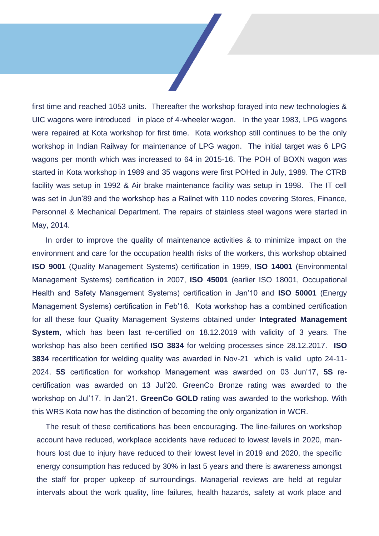first time and reached 1053 units. Thereafter the workshop forayed into new technologies & UIC wagons were introduced in place of 4-wheeler wagon. In the year 1983, LPG wagons were repaired at Kota workshop for first time. Kota workshop still continues to be the only workshop in Indian Railway for maintenance of LPG wagon. The initial target was 6 LPG wagons per month which was increased to 64 in 2015-16. The POH of BOXN wagon was started in Kota workshop in 1989 and 35 wagons were first POHed in July, 1989. The CTRB facility was setup in 1992 & Air brake maintenance facility was setup in 1998. The IT cell was set in Jun'89 and the workshop has a Railnet with 110 nodes covering Stores, Finance, Personnel & Mechanical Department. The repairs of stainless steel wagons were started in May, 2014.

In order to improve the quality of maintenance activities & to minimize impact on the environment and care for the occupation health risks of the workers, this workshop obtained **ISO 9001** (Quality Management Systems) certification in 1999, **ISO 14001** (Environmental Management Systems) certification in 2007, **ISO 45001** (earlier ISO 18001, Occupational Health and Safety Management Systems) certification in Jan'10 and **ISO 50001** (Energy Management Systems) certification in Feb'16. Kota workshop has a combined certification for all these four Quality Management Systems obtained under **Integrated Management System**, which has been last re-certified on 18.12.2019 with validity of 3 years. The workshop has also been certified **ISO 3834** for welding processes since 28.12.2017. **ISO 3834** recertification for welding quality was awarded in Nov-21 which is valid upto 24-11- 2024. **5S** certification for workshop Management was awarded on 03 Jun'17, **5S** recertification was awarded on 13 Jul'20. GreenCo Bronze rating was awarded to the workshop on Jul'17. In Jan'21. **GreenCo GOLD** rating was awarded to the workshop. With this WRS Kota now has the distinction of becoming the only organization in WCR.

The result of these certifications has been encouraging. The line-failures on workshop account have reduced, workplace accidents have reduced to lowest levels in 2020, manhours lost due to injury have reduced to their lowest level in 2019 and 2020, the specific energy consumption has reduced by 30% in last 5 years and there is awareness amongst the staff for proper upkeep of surroundings. Managerial reviews are held at regular intervals about the work quality, line failures, health hazards, safety at work place and